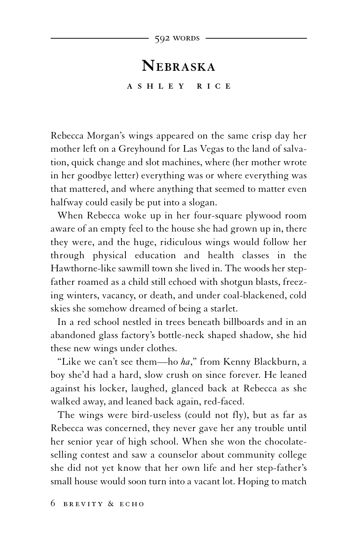## **NE B R A S K A A S H L E Y R I C E**

Rebecca Morgan's wings appeared on the same crisp day her mother left on a Greyhound for Las Vegas to the land of salvation, quick change and slot machines, where (her mother wrote in her goodbye letter) everything was or where everything was that mattered, and where anything that seemed to matter even halfway could easily be put into a slogan.

When Rebecca woke up in her four-square plywood room aware of an empty feel to the house she had grown up in, there they were, and the huge, ridiculous wings would follow her through physical education and health classes in the Hawthorne-like sawmill town she lived in. The woods her stepfather roamed as a child still echoed with shotgun blasts, freezing winters, vacancy, or death, and under coal-blackened, cold skies she somehow dreamed of being a starlet.

In a red school nestled in trees beneath billboards and in an abandoned glass factory's bottle-neck shaped shadow, she hid these new wings under clothes.

"Like we can't see them—ho *ha*," from Kenny Blackburn, a boy she'd had a hard, slow crush on since forever. He leaned against his locker, laughed, glanced back at Rebecca as she walked away, and leaned back again, red-faced.

The wings were bird-useless (could not fly), but as far as Rebecca was concerned, they never gave her any trouble until her senior year of high school. When she won the chocolateselling contest and saw a counselor about community college she did not yet know that her own life and her step-father's small house would soon turn into a vacant lot. Hoping to match